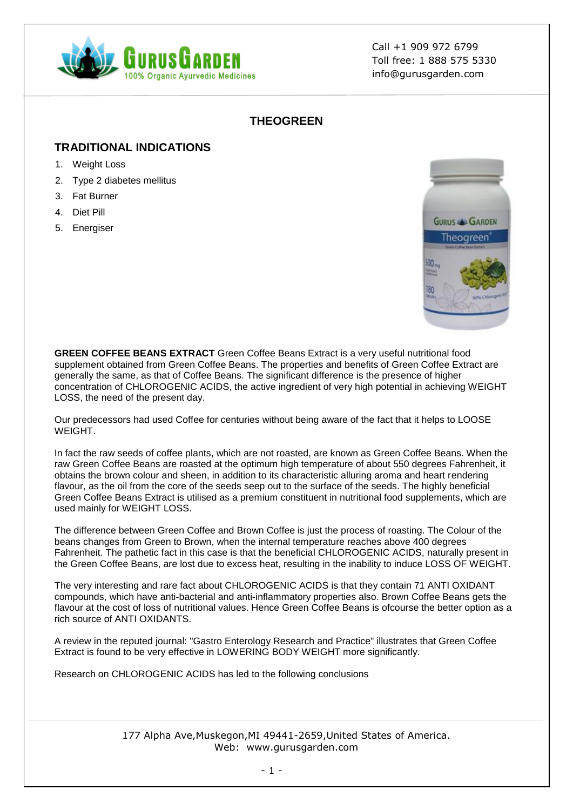

Call +1 909 972 6799 Toll free: 1 888 575 5330 info@gurusgarden.com

## **THEOGREEN**

# **TRADITIONAL INDICATIONS**

- 1. Weight Loss
- 2. Type 2 diabetes mellitus
- 3. Fat Burner
- 4. Diet Pill
- 5. Energiser



**GREEN COFFEE BEANS EXTRACT** Green Coffee Beans Extract is a very useful nutritional food supplement obtained from Green Coffee Beans. The properties and benefits of Green Coffee Extract are generally the same, as that of Coffee Beans. The significant difference is the presence of higher concentration of CHLOROGENIC ACIDS, the active ingredient of very high potential in achieving WEIGHT LOSS, the need of the present day.

Our predecessors had used Coffee for centuries without being aware of the fact that it helps to LOOSE WEIGHT.

In fact the raw seeds of coffee plants, which are not roasted, are known as Green Coffee Beans. When the raw Green Coffee Beans are roasted at the optimum high temperature of about 550 degrees Fahrenheit, it obtains the brown colour and sheen, in addition to its characteristic alluring aroma and heart rendering flavour, as the oil from the core of the seeds seep out to the surface of the seeds. The highly beneficial Green Coffee Beans Extract is utilised as a premium constituent in nutritional food supplements, which are used mainly for WEIGHT LOSS.

The difference between Green Coffee and Brown Coffee is just the process of roasting. The Colour of the beans changes from Green to Brown, when the internal temperature reaches above 400 degrees Fahrenheit. The pathetic fact in this case is that the beneficial CHLOROGENIC ACIDS, naturally present in the Green Coffee Beans, are lost due to excess heat, resulting in the inability to induce LOSS OF WEIGHT.

The very interesting and rare fact about CHLOROGENIC ACIDS is that they contain 71 ANTI OXIDANT compounds, which have anti-bacterial and anti-inflammatory properties also. Brown Coffee Beans gets the flavour at the cost of loss of nutritional values. Hence Green Coffee Beans is ofcourse the better option as a rich source of ANTI OXIDANTS.

A review in the reputed journal: "Gastro Enterology Research and Practice" illustrates that Green Coffee Extract is found to be very effective in LOWERING BODY WEIGHT more significantly.

Research on CHLOROGENIC ACIDS has led to the following conclusions

#### 177 Alpha Ave,Muskegon,MI 49441-2659,United States of America. Web: www.gurusgarden.com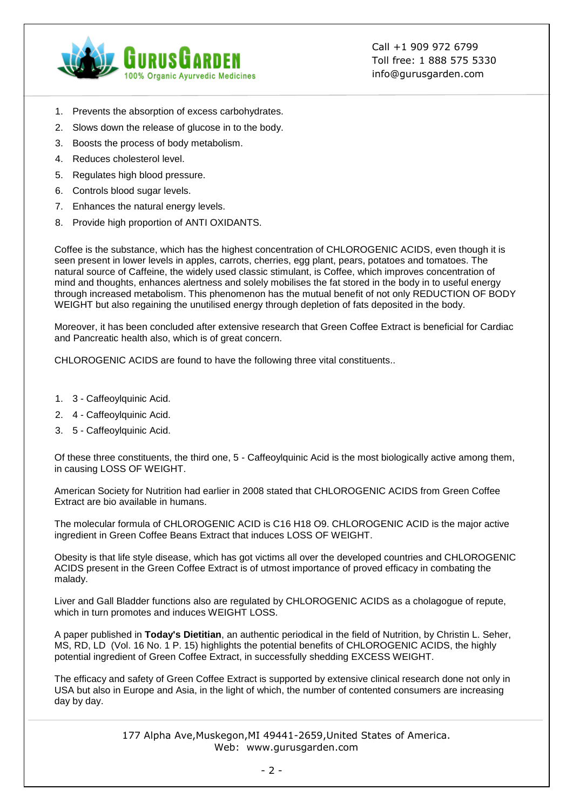

Call +1 909 972 6799 Toll free: 1 888 575 5330 info@gurusgarden.com

- 1. Prevents the absorption of excess carbohydrates.
- 2. Slows down the release of glucose in to the body.
- 3. Boosts the process of body metabolism.
- 4. Reduces cholesterol level.
- 5. Regulates high blood pressure.
- 6. Controls blood sugar levels.
- 7. Enhances the natural energy levels.
- 8. Provide high proportion of ANTI OXIDANTS.

Coffee is the substance, which has the highest concentration of CHLOROGENIC ACIDS, even though it is seen present in lower levels in apples, carrots, cherries, egg plant, pears, potatoes and tomatoes. The natural source of Caffeine, the widely used classic stimulant, is Coffee, which improves concentration of mind and thoughts, enhances alertness and solely mobilises the fat stored in the body in to useful energy through increased metabolism. This phenomenon has the mutual benefit of not only REDUCTION OF BODY WEIGHT but also regaining the unutilised energy through depletion of fats deposited in the body.

Moreover, it has been concluded after extensive research that Green Coffee Extract is beneficial for Cardiac and Pancreatic health also, which is of great concern.

CHLOROGENIC ACIDS are found to have the following three vital constituents..

- 1. 3 Caffeoylquinic Acid.
- 2. 4 Caffeoylquinic Acid.
- 3. 5 Caffeoylquinic Acid.

Of these three constituents, the third one, 5 - Caffeoylquinic Acid is the most biologically active among them, in causing LOSS OF WEIGHT.

American Society for Nutrition had earlier in 2008 stated that CHLOROGENIC ACIDS from Green Coffee Extract are bio available in humans.

The molecular formula of CHLOROGENIC ACID is C16 H18 O9. CHLOROGENIC ACID is the major active ingredient in Green Coffee Beans Extract that induces LOSS OF WEIGHT.

Obesity is that life style disease, which has got victims all over the developed countries and CHLOROGENIC ACIDS present in the Green Coffee Extract is of utmost importance of proved efficacy in combating the malady.

Liver and Gall Bladder functions also are regulated by CHLOROGENIC ACIDS as a cholagogue of repute, which in turn promotes and induces WEIGHT LOSS.

A paper published in **Today's Dietitian**, an authentic periodical in the field of Nutrition, by Christin L. Seher, MS, RD, LD (Vol. 16 No. 1 P. 15) highlights the potential benefits of CHLOROGENIC ACIDS, the highly potential ingredient of Green Coffee Extract, in successfully shedding EXCESS WEIGHT.

The efficacy and safety of Green Coffee Extract is supported by extensive clinical research done not only in USA but also in Europe and Asia, in the light of which, the number of contented consumers are increasing day by day.

> 177 Alpha Ave,Muskegon,MI 49441-2659,United States of America. Web: www.gurusgarden.com